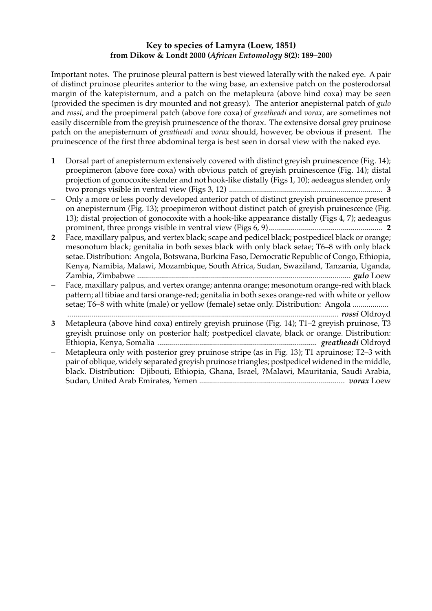## **Key to species of Lamyra (Loew, 1851) from Dikow & Londt 2000 (***African Entomology* **8(2): 189–200)**

Important notes. The pruinose pleural pattern is best viewed laterally with the naked eye. A pair of distinct pruinose pleurites anterior to the wing base, an extensive patch on the posterodorsal margin of the katepisternum, and a patch on the metapleura (above hind coxa) may be seen (provided the specimen is dry mounted and not greasy). The anterior anepisternal patch of *gulo* and *rossi*, and the proepimeral patch (above fore coxa) of *greatheadi* and *vorax*, are sometimes not easily discernible from the greyish pruinescence of the thorax. The extensive dorsal grey pruinose patch on the anepisternum of *greatheadi* and *vorax* should, however, be obvious if present. The pruinescence of the first three abdominal terga is best seen in dorsal view with the naked eye.

- **1** Dorsal part of anepisternum extensively covered with distinct greyish pruinescence (Fig. 14); proepimeron (above fore coxa) with obvious patch of greyish pruinescence (Fig. 14); distal projection of gonocoxite slender and not hook-like distally (Figs 1, 10); aedeagus slender, only two prongs visible in ventral view (Figs 3, 12) ............................................................................. **3**
- Only a more or less poorly developed anterior patch of distinct greyish pruinescence present on anepisternum (Fig. 13); proepimeron without distinct patch of greyish pruinescence (Fig. 13); distal projection of gonocoxite with a hook-like appearance distally (Figs 4, 7); aedeagus prominent, three prongs visible in ventral view (Figs 6, 9)......................................................... **2**
- **2** Face, maxillary palpus, and vertex black; scape and pedicel black; postpedicel black or orange; mesonotum black; genitalia in both sexes black with only black setae; T6–8 with only black setae. Distribution: Angola, Botswana, Burkina Faso, Democratic Republic of Congo, Ethiopia, Kenya, Namibia, Malawi, Mozambique, South Africa, Sudan, Swaziland, Tanzania, Uganda, Zambia, Zimbabwe ........................................................................................................... *gulo* Loew
- Face, maxillary palpus, and vertex orange; antenna orange; mesonotum orange-red with black pattern; all tibiae and tarsi orange-red; genitalia in both sexes orange-red with white or yellow setae; T6–8 with white (male) or yellow (female) setae only. Distribution: Angola .................. ........................................................................................................................................ *rossi* Oldroyd
- **3** Metapleura (above hind coxa) entirely greyish pruinose (Fig. 14); T1–2 greyish pruinose, T3 greyish pruinose only on posterior half; postpedicel clavate, black or orange. Distribution: Ethiopia, Kenya, Somalia ................................................................................ *greatheadi* Oldroyd
- Metapleura only with posterior grey pruinose stripe (as in Fig. 13); T1 apruinose; T2–3 with pair of oblique, widely separated greyish pruinose triangles; postpedicel widened in the middle, black. Distribution: Djibouti, Ethiopia, Ghana, Israel, ?Malawi, Mauritania, Saudi Arabia, Sudan, United Arab Emirates, Yemen ......................................................................... *vorax* Loew